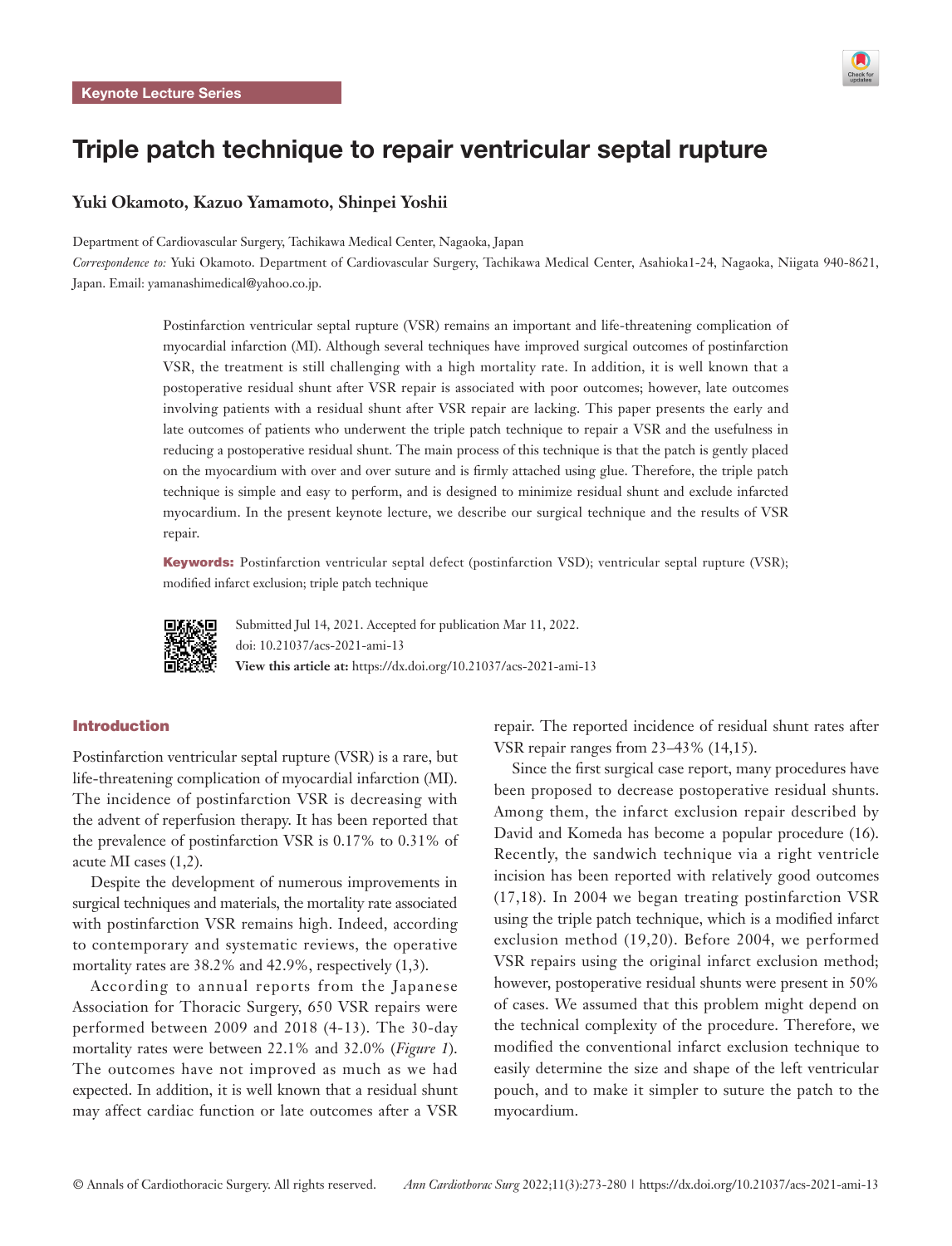

# Triple patch technique to repair ventricular septal rupture

# **Yuki Okamoto, Kazuo Yamamoto, Shinpei Yoshii**

Department of Cardiovascular Surgery, Tachikawa Medical Center, Nagaoka, Japan

*Correspondence to:* Yuki Okamoto. Department of Cardiovascular Surgery, Tachikawa Medical Center, Asahioka1-24, Nagaoka, Niigata 940-8621, Japan. Email: yamanashimedical@yahoo.co.jp.

> Postinfarction ventricular septal rupture (VSR) remains an important and life-threatening complication of myocardial infarction (MI). Although several techniques have improved surgical outcomes of postinfarction VSR, the treatment is still challenging with a high mortality rate. In addition, it is well known that a postoperative residual shunt after VSR repair is associated with poor outcomes; however, late outcomes involving patients with a residual shunt after VSR repair are lacking. This paper presents the early and late outcomes of patients who underwent the triple patch technique to repair a VSR and the usefulness in reducing a postoperative residual shunt. The main process of this technique is that the patch is gently placed on the myocardium with over and over suture and is firmly attached using glue. Therefore, the triple patch technique is simple and easy to perform, and is designed to minimize residual shunt and exclude infarcted myocardium. In the present keynote lecture, we describe our surgical technique and the results of VSR repair.

> Keywords: Postinfarction ventricular septal defect (postinfarction VSD); ventricular septal rupture (VSR); modified infarct exclusion; triple patch technique



Submitted Jul 14, 2021. Accepted for publication Mar 11, 2022. doi: 10.21037/acs-2021-ami-13 **View this article at:** https://dx.doi.org/10.21037/acs-2021-ami-13

# Introduction

Postinfarction ventricular septal rupture (VSR) is a rare, but life-threatening complication of myocardial infarction (MI). The incidence of postinfarction VSR is decreasing with the advent of reperfusion therapy. It has been reported that the prevalence of postinfarction VSR is 0.17% to 0.31% of acute MI cases (1,2).

Despite the development of numerous improvements in surgical techniques and materials, the mortality rate associated with postinfarction VSR remains high. Indeed, according to contemporary and systematic reviews, the operative mortality rates are 38.2% and 42.9%, respectively (1,3).

According to annual reports from the Japanese Association for Thoracic Surgery, 650 VSR repairs were performed between 2009 and 2018 (4-13). The 30-day mortality rates were between 22.1% and 32.0% (*Figure 1*). The outcomes have not improved as much as we had expected. In addition, it is well known that a residual shunt may affect cardiac function or late outcomes after a VSR

repair. The reported incidence of residual shunt rates after VSR repair ranges from 23–43% (14,15).

Since the first surgical case report, many procedures have been proposed to decrease postoperative residual shunts. Among them, the infarct exclusion repair described by David and Komeda has become a popular procedure (16). Recently, the sandwich technique via a right ventricle incision has been reported with relatively good outcomes (17,18). In 2004 we began treating postinfarction VSR using the triple patch technique, which is a modified infarct exclusion method (19,20). Before 2004, we performed VSR repairs using the original infarct exclusion method; however, postoperative residual shunts were present in 50% of cases. We assumed that this problem might depend on the technical complexity of the procedure. Therefore, we modified the conventional infarct exclusion technique to easily determine the size and shape of the left ventricular pouch, and to make it simpler to suture the patch to the myocardium.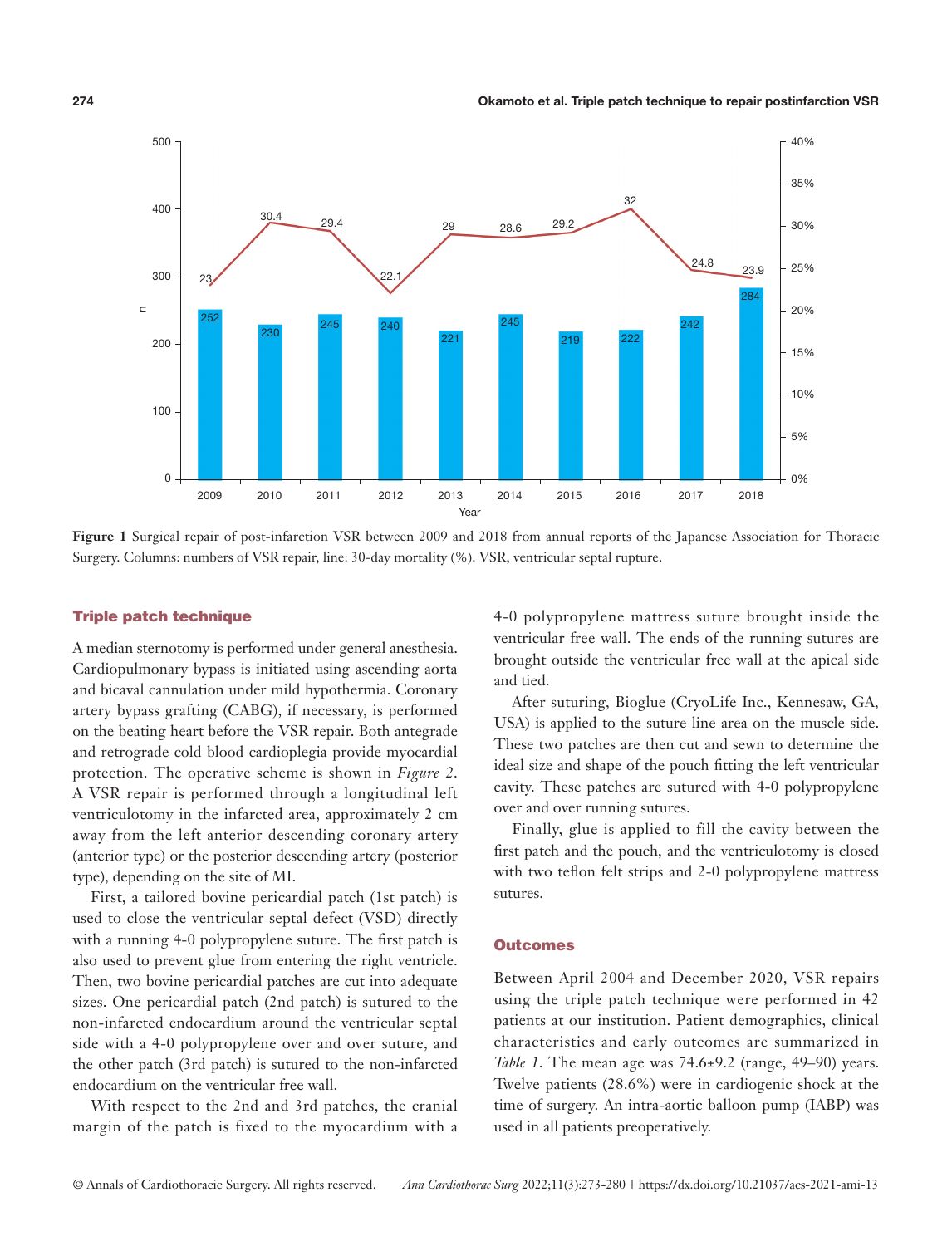

**Figure 1** Surgical repair of post-infarction VSR between 2009 and 2018 from annual reports of the Japanese Association for Thoracic Surgery. Columns: numbers of VSR repair, line: 30-day mortality (%). VSR, ventricular septal rupture.

#### Triple patch technique

A median sternotomy is performed under general anesthesia. Cardiopulmonary bypass is initiated using ascending aorta and bicaval cannulation under mild hypothermia. Coronary artery bypass grafting (CABG), if necessary, is performed on the beating heart before the VSR repair. Both antegrade and retrograde cold blood cardioplegia provide myocardial protection. The operative scheme is shown in *Figure 2*. A VSR repair is performed through a longitudinal left ventriculotomy in the infarcted area, approximately 2 cm away from the left anterior descending coronary artery (anterior type) or the posterior descending artery (posterior type), depending on the site of MI.

First, a tailored bovine pericardial patch (1st patch) is used to close the ventricular septal defect (VSD) directly with a running 4-0 polypropylene suture. The first patch is also used to prevent glue from entering the right ventricle. Then, two bovine pericardial patches are cut into adequate sizes. One pericardial patch (2nd patch) is sutured to the non-infarcted endocardium around the ventricular septal side with a 4-0 polypropylene over and over suture, and the other patch (3rd patch) is sutured to the non-infarcted endocardium on the ventricular free wall.

With respect to the 2nd and 3rd patches, the cranial margin of the patch is fixed to the myocardium with a

4-0 polypropylene mattress suture brought inside the ventricular free wall. The ends of the running sutures are brought outside the ventricular free wall at the apical side and tied.

After suturing, Bioglue (CryoLife Inc., Kennesaw, GA, USA) is applied to the suture line area on the muscle side. These two patches are then cut and sewn to determine the ideal size and shape of the pouch fitting the left ventricular cavity. These patches are sutured with 4-0 polypropylene over and over running sutures.

Finally, glue is applied to fill the cavity between the first patch and the pouch, and the ventriculotomy is closed with two teflon felt strips and 2-0 polypropylene mattress sutures.

#### **Outcomes**

Between April 2004 and December 2020, VSR repairs using the triple patch technique were performed in 42 patients at our institution. Patient demographics, clinical characteristics and early outcomes are summarized in *Table 1*. The mean age was 74.6±9.2 (range, 49–90) years. Twelve patients (28.6%) were in cardiogenic shock at the time of surgery. An intra-aortic balloon pump (IABP) was used in all patients preoperatively.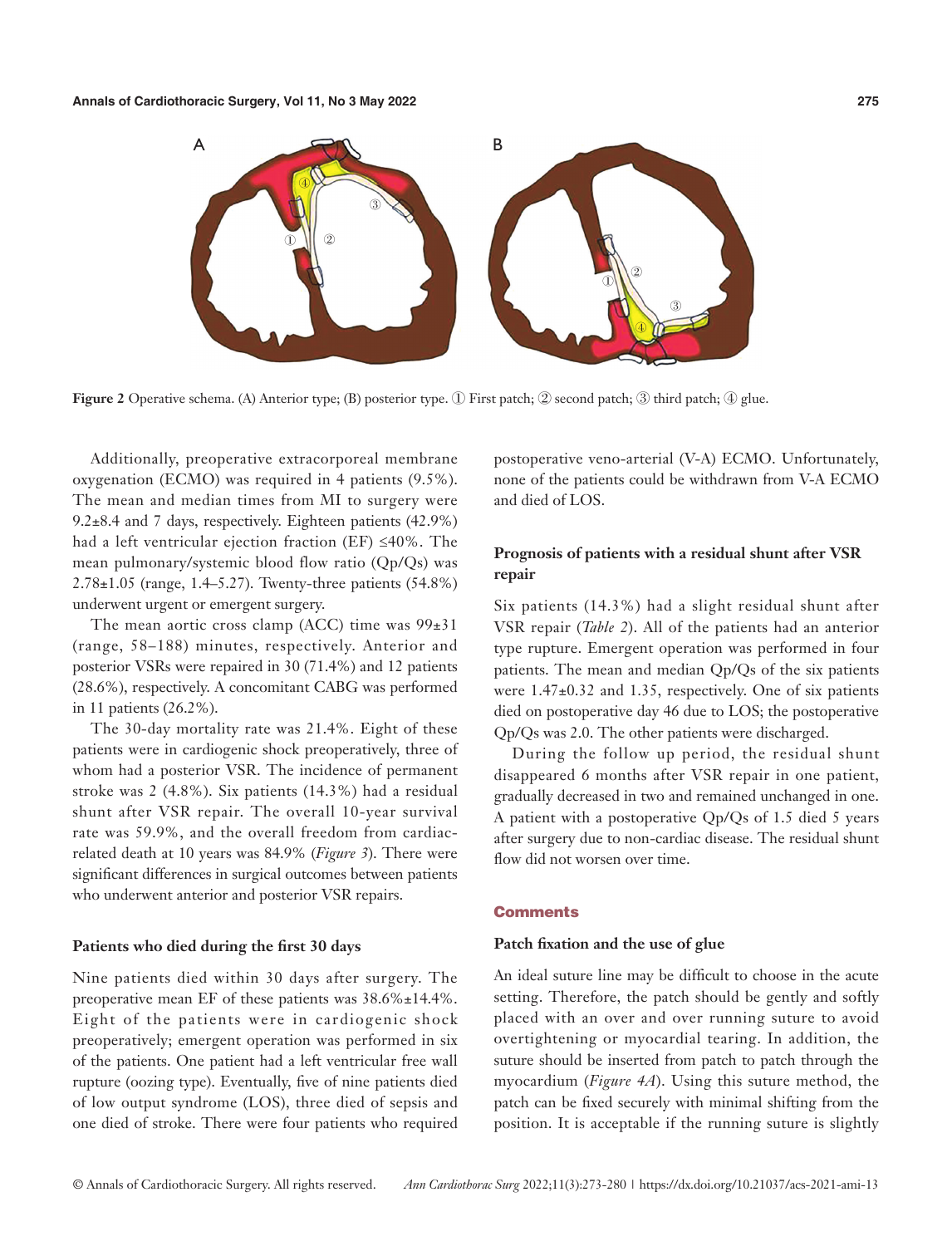

**Figure 2** Operative schema. (A) Anterior type; (B) posterior type. ① First patch; ② second patch; ③ third patch; ④ glue.

Additionally, preoperative extracorporeal membrane oxygenation (ECMO) was required in 4 patients (9.5%). The mean and median times from MI to surgery were 9.2±8.4 and 7 days, respectively. Eighteen patients (42.9%) had a left ventricular ejection fraction (EF) ≤40%. The mean pulmonary/systemic blood flow ratio (Qp/Qs) was 2.78±1.05 (range, 1.4–5.27). Twenty-three patients (54.8%) underwent urgent or emergent surgery.

The mean aortic cross clamp (ACC) time was  $99±31$ (range, 58–188) minutes, respectively. Anterior and posterior VSRs were repaired in 30 (71.4%) and 12 patients (28.6%), respectively. A concomitant CABG was performed in 11 patients (26.2%).

The 30-day mortality rate was 21.4%. Eight of these patients were in cardiogenic shock preoperatively, three of whom had a posterior VSR. The incidence of permanent stroke was 2 (4.8%). Six patients (14.3%) had a residual shunt after VSR repair. The overall 10-year survival rate was 59.9%, and the overall freedom from cardiacrelated death at 10 years was 84.9% (*Figure 3*). There were significant differences in surgical outcomes between patients who underwent anterior and posterior VSR repairs.

#### **Patients who died during the first 30 days**

Nine patients died within 30 days after surgery. The preoperative mean EF of these patients was 38.6%±14.4%. Eight of the patients were in cardiogenic shock preoperatively; emergent operation was performed in six of the patients. One patient had a left ventricular free wall rupture (oozing type). Eventually, five of nine patients died of low output syndrome (LOS), three died of sepsis and one died of stroke. There were four patients who required

postoperative veno-arterial (V-A) ECMO. Unfortunately, none of the patients could be withdrawn from V-A ECMO and died of LOS.

# **Prognosis of patients with a residual shunt after VSR repair**

Six patients (14.3%) had a slight residual shunt after VSR repair (*Table 2*). All of the patients had an anterior type rupture. Emergent operation was performed in four patients. The mean and median Qp/Qs of the six patients were 1.47±0.32 and 1.35, respectively. One of six patients died on postoperative day 46 due to LOS; the postoperative Qp/Qs was 2.0. The other patients were discharged.

During the follow up period, the residual shunt disappeared 6 months after VSR repair in one patient, gradually decreased in two and remained unchanged in one. A patient with a postoperative Qp/Qs of 1.5 died 5 years after surgery due to non-cardiac disease. The residual shunt flow did not worsen over time.

# **Comments**

# **Patch fixation and the use of glue**

An ideal suture line may be difficult to choose in the acute setting. Therefore, the patch should be gently and softly placed with an over and over running suture to avoid overtightening or myocardial tearing. In addition, the suture should be inserted from patch to patch through the myocardium (*Figure 4A*). Using this suture method, the patch can be fixed securely with minimal shifting from the position. It is acceptable if the running suture is slightly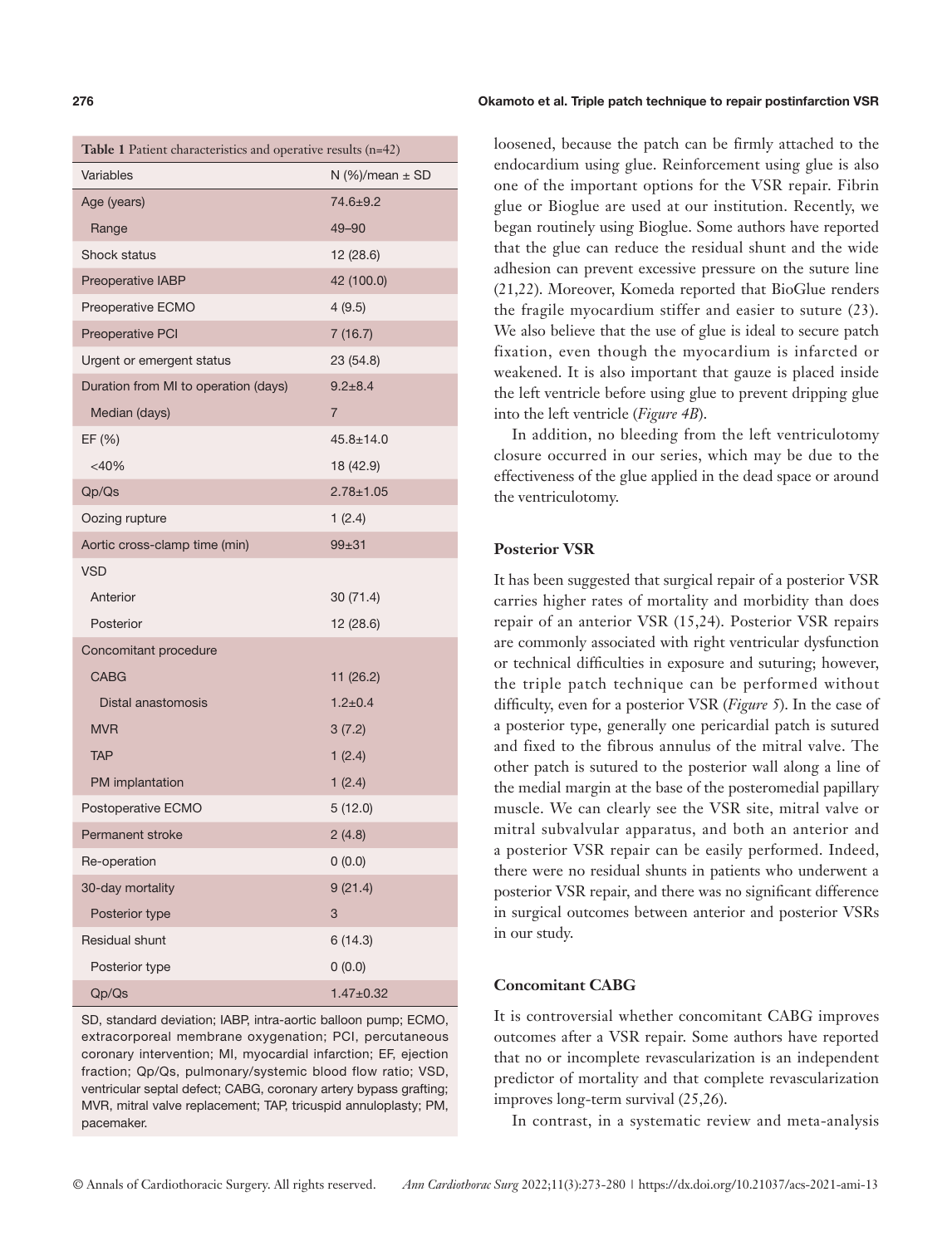| <b>Table 1</b> Patient characteristics and operative results $(n=42)$ |                       |  |  |  |
|-----------------------------------------------------------------------|-----------------------|--|--|--|
| Variables                                                             | $N$ (%)/mean $\pm$ SD |  |  |  |
| Age (years)                                                           | 74.6±9.2              |  |  |  |
| Range                                                                 | $49 - 90$             |  |  |  |
| <b>Shock status</b>                                                   | 12 (28.6)             |  |  |  |
| Preoperative IABP                                                     | 42 (100.0)            |  |  |  |
| Preoperative ECMO                                                     | 4(9.5)                |  |  |  |
| Preoperative PCI                                                      | 7(16.7)               |  |  |  |
| Urgent or emergent status                                             | 23 (54.8)             |  |  |  |
| Duration from MI to operation (days)                                  | $9.2 + 8.4$           |  |  |  |
| Median (days)                                                         | $\overline{7}$        |  |  |  |
| EF (%)                                                                | $45.8 \pm 14.0$       |  |  |  |
| $<$ 40%                                                               | 18 (42.9)             |  |  |  |
| Qp/Qs                                                                 | $2.78 + 1.05$         |  |  |  |
| Oozing rupture                                                        | 1(2.4)                |  |  |  |
| Aortic cross-clamp time (min)                                         | $99 + 31$             |  |  |  |
| <b>VSD</b>                                                            |                       |  |  |  |
| Anterior                                                              | 30 (71.4)             |  |  |  |
| Posterior                                                             | 12 (28.6)             |  |  |  |
| Concomitant procedure                                                 |                       |  |  |  |
| <b>CABG</b>                                                           | 11 (26.2)             |  |  |  |
| Distal anastomosis                                                    | $1.2 + 0.4$           |  |  |  |
| <b>MVR</b>                                                            | 3(7.2)                |  |  |  |
| <b>TAP</b>                                                            | 1(2.4)                |  |  |  |
| PM implantation                                                       | 1(2.4)                |  |  |  |
| Postoperative ECMO                                                    | 5(12.0)               |  |  |  |
| <b>Permanent stroke</b>                                               | 2(4.8)                |  |  |  |
| Re-operation                                                          | 0(0.0)                |  |  |  |
| 30-day mortality                                                      | 9(21.4)               |  |  |  |
| Posterior type                                                        | 3                     |  |  |  |
| Residual shunt                                                        | 6(14.3)               |  |  |  |
| Posterior type                                                        | 0(0.0)                |  |  |  |
| Qp/Qs                                                                 | $1.47 + 0.32$         |  |  |  |

SD, standard deviation; IABP, intra-aortic balloon pump; ECMO, extracorporeal membrane oxygenation; PCI, percutaneous coronary intervention; MI, myocardial infarction; EF, ejection fraction; Qp/Qs, pulmonary/systemic blood flow ratio; VSD, ventricular septal defect; CABG, coronary artery bypass grafting; MVR, mitral valve replacement; TAP, tricuspid annuloplasty; PM, pacemaker.

#### **276** Okamoto et al. Triple patch technique to repair postinfarction VSR

loosened, because the patch can be firmly attached to the endocardium using glue. Reinforcement using glue is also one of the important options for the VSR repair. Fibrin glue or Bioglue are used at our institution. Recently, we began routinely using Bioglue. Some authors have reported that the glue can reduce the residual shunt and the wide adhesion can prevent excessive pressure on the suture line (21,22). Moreover, Komeda reported that BioGlue renders the fragile myocardium stiffer and easier to suture (23). We also believe that the use of glue is ideal to secure patch fixation, even though the myocardium is infarcted or weakened. It is also important that gauze is placed inside the left ventricle before using glue to prevent dripping glue into the left ventricle (*Figure 4B*).

In addition, no bleeding from the left ventriculotomy closure occurred in our series, which may be due to the effectiveness of the glue applied in the dead space or around the ventriculotomy.

# **Posterior VSR**

It has been suggested that surgical repair of a posterior VSR carries higher rates of mortality and morbidity than does repair of an anterior VSR (15,24). Posterior VSR repairs are commonly associated with right ventricular dysfunction or technical difficulties in exposure and suturing; however, the triple patch technique can be performed without difficulty, even for a posterior VSR (*Figure 5*). In the case of a posterior type, generally one pericardial patch is sutured and fixed to the fibrous annulus of the mitral valve. The other patch is sutured to the posterior wall along a line of the medial margin at the base of the posteromedial papillary muscle. We can clearly see the VSR site, mitral valve or mitral subvalvular apparatus, and both an anterior and a posterior VSR repair can be easily performed. Indeed, there were no residual shunts in patients who underwent a posterior VSR repair, and there was no significant difference in surgical outcomes between anterior and posterior VSRs in our study.

#### **Concomitant CABG**

It is controversial whether concomitant CABG improves outcomes after a VSR repair. Some authors have reported that no or incomplete revascularization is an independent predictor of mortality and that complete revascularization improves long-term survival (25,26).

In contrast, in a systematic review and meta-analysis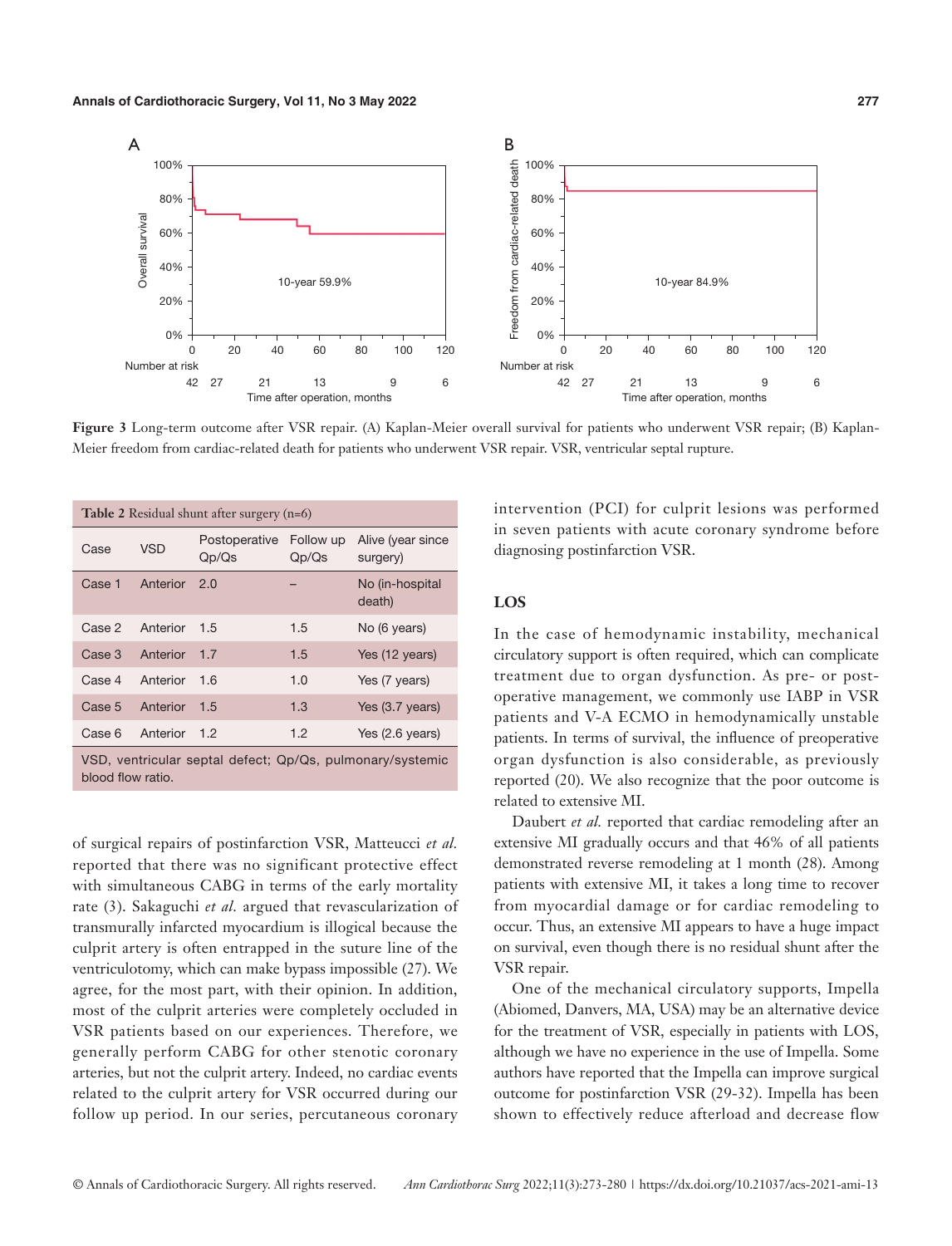

**Figure 3** Long-term outcome after VSR repair. (A) Kaplan-Meier overall survival for patients who underwent VSR repair; (B) Kaplan-Meier freedom from cardiac-related death for patients who underwent VSR repair. VSR, ventricular septal rupture.

| <b>Table 2</b> Residual shunt after surgery $(n=6)$                            |            |                        |                    |                               |
|--------------------------------------------------------------------------------|------------|------------------------|--------------------|-------------------------------|
| Case                                                                           | <b>VSD</b> | Postoperative<br>Qp/Qs | Follow up<br>Qp/Qs | Alive (year since<br>surgery) |
| Case 1                                                                         | Anterior   | 2.0                    |                    | No (in-hospital<br>death)     |
| Case 2                                                                         | Anterior   | 1.5                    | 1.5                | No (6 years)                  |
| Case 3                                                                         | Anterior   | 1.7                    | 1.5                | Yes (12 years)                |
| Case 4                                                                         | Anterior   | 1.6                    | 1.0                | Yes (7 years)                 |
| Case 5                                                                         | Anterior   | 1.5                    | 1.3                | Yes (3.7 years)               |
| Case 6                                                                         | Anterior   | 1.2                    | 1.2                | Yes $(2.6 \text{ years})$     |
| VSD, ventricular septal defect; Qp/Qs, pulmonary/systemic<br>blood flow ratio. |            |                        |                    |                               |

of surgical repairs of postinfarction VSR, Matteucci *et al.* reported that there was no significant protective effect with simultaneous CABG in terms of the early mortality rate (3). Sakaguchi *et al.* argued that revascularization of transmurally infarcted myocardium is illogical because the culprit artery is often entrapped in the suture line of the ventriculotomy, which can make bypass impossible (27). We agree, for the most part, with their opinion. In addition, most of the culprit arteries were completely occluded in VSR patients based on our experiences. Therefore, we generally perform CABG for other stenotic coronary arteries, but not the culprit artery. Indeed, no cardiac events related to the culprit artery for VSR occurred during our follow up period. In our series, percutaneous coronary intervention (PCI) for culprit lesions was performed in seven patients with acute coronary syndrome before diagnosing postinfarction VSR.

#### **LOS**

In the case of hemodynamic instability, mechanical circulatory support is often required, which can complicate treatment due to organ dysfunction. As pre- or postoperative management, we commonly use IABP in VSR patients and V-A ECMO in hemodynamically unstable patients. In terms of survival, the influence of preoperative organ dysfunction is also considerable, as previously reported (20). We also recognize that the poor outcome is related to extensive MI.

Daubert *et al.* reported that cardiac remodeling after an extensive MI gradually occurs and that 46% of all patients demonstrated reverse remodeling at 1 month (28). Among patients with extensive MI, it takes a long time to recover from myocardial damage or for cardiac remodeling to occur. Thus, an extensive MI appears to have a huge impact on survival, even though there is no residual shunt after the VSR repair.

One of the mechanical circulatory supports, Impella (Abiomed, Danvers, MA, USA) may be an alternative device for the treatment of VSR, especially in patients with LOS, although we have no experience in the use of Impella. Some authors have reported that the Impella can improve surgical outcome for postinfarction VSR (29-32). Impella has been shown to effectively reduce afterload and decrease flow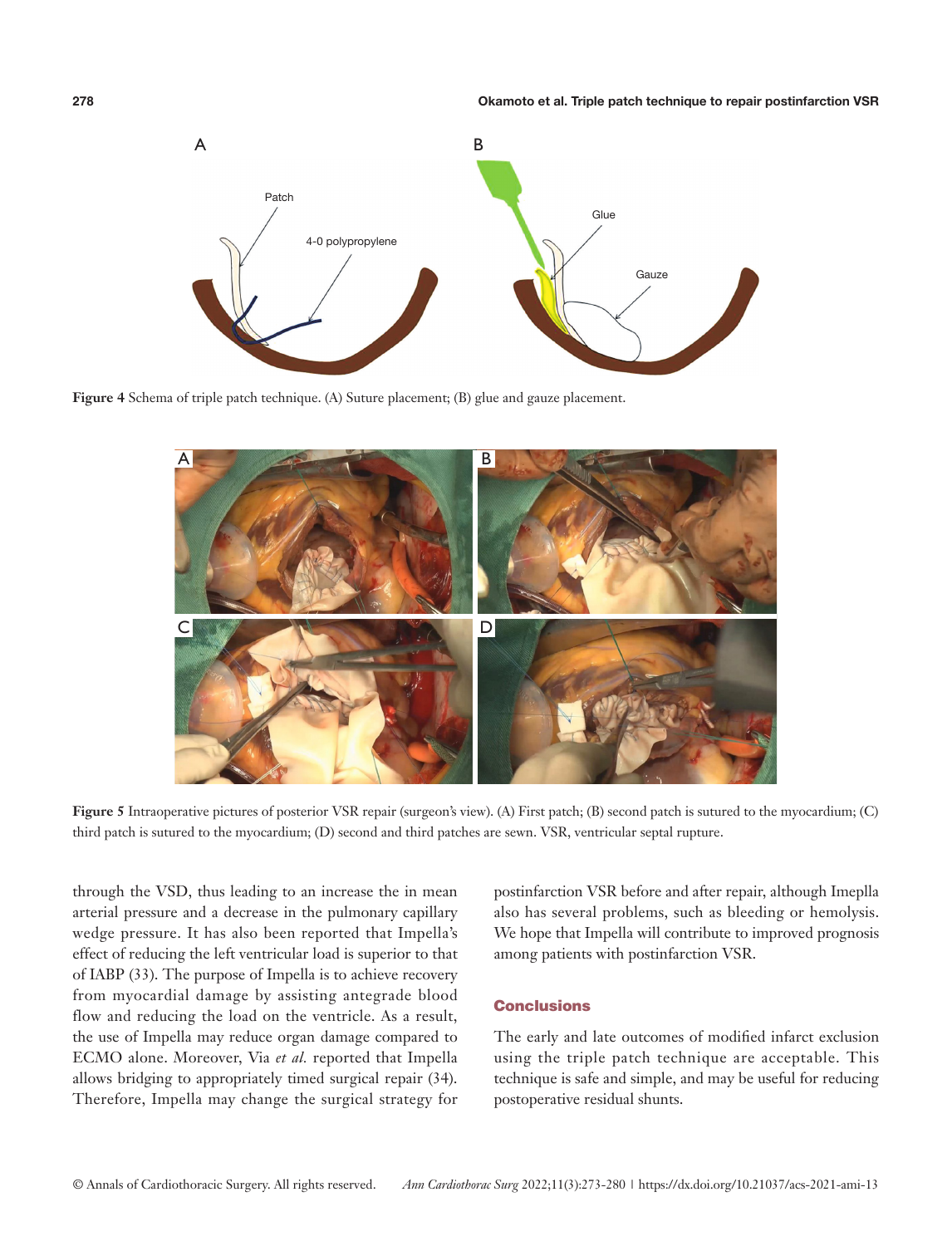

**Figure 4** Schema of triple patch technique. (A) Suture placement; (B) glue and gauze placement.



Figure 5 Intraoperative pictures of posterior VSR repair (surgeon's view). (A) First patch; (B) second patch is sutured to the myocardium; (C) third patch is sutured to the myocardium; (D) second and third patches are sewn. VSR, ventricular septal rupture.

through the VSD, thus leading to an increase the in mean arterial pressure and a decrease in the pulmonary capillary wedge pressure. It has also been reported that Impella's effect of reducing the left ventricular load is superior to that of IABP (33). The purpose of Impella is to achieve recovery from myocardial damage by assisting antegrade blood flow and reducing the load on the ventricle. As a result, the use of Impella may reduce organ damage compared to ECMO alone. Moreover, Via *et al.* reported that Impella allows bridging to appropriately timed surgical repair (34). Therefore, Impella may change the surgical strategy for

postinfarction VSR before and after repair, although Imeplla also has several problems, such as bleeding or hemolysis. We hope that Impella will contribute to improved prognosis among patients with postinfarction VSR.

# **Conclusions**

The early and late outcomes of modified infarct exclusion using the triple patch technique are acceptable. This technique is safe and simple, and may be useful for reducing postoperative residual shunts.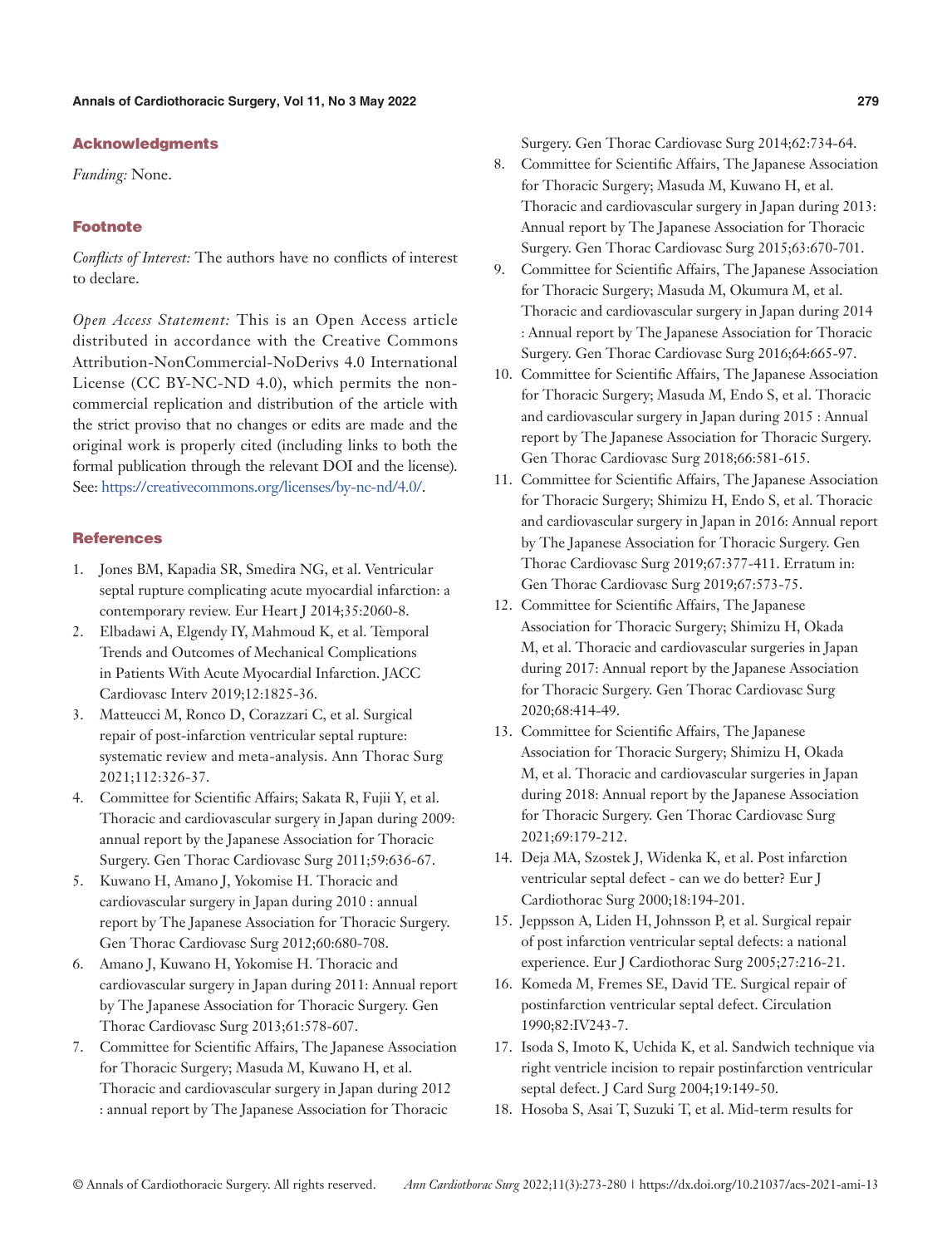## Acknowledgments

*Funding:* None.

# Footnote

*Conflicts of Interest:* The authors have no conflicts of interest to declare.

*Open Access Statement:* This is an Open Access article distributed in accordance with the Creative Commons Attribution-NonCommercial-NoDerivs 4.0 International License (CC BY-NC-ND 4.0), which permits the noncommercial replication and distribution of the article with the strict proviso that no changes or edits are made and the original work is properly cited (including links to both the formal publication through the relevant DOI and the license). See: [https://creativecommons.org/licenses/by-nc-nd/4.0/.](https://creativecommons.org/licenses/by-nc-nd/4.0/)

# **References**

- 1. Jones BM, Kapadia SR, Smedira NG, et al. Ventricular septal rupture complicating acute myocardial infarction: a contemporary review. Eur Heart J 2014;35:2060-8.
- 2. Elbadawi A, Elgendy IY, Mahmoud K, et al. Temporal Trends and Outcomes of Mechanical Complications in Patients With Acute Myocardial Infarction. JACC Cardiovasc Interv 2019;12:1825-36.
- 3. Matteucci M, Ronco D, Corazzari C, et al. Surgical repair of post-infarction ventricular septal rupture: systematic review and meta-analysis. Ann Thorac Surg 2021;112:326-37.
- 4. Committee for Scientific Affairs; Sakata R, Fujii Y, et al. Thoracic and cardiovascular surgery in Japan during 2009: annual report by the Japanese Association for Thoracic Surgery. Gen Thorac Cardiovasc Surg 2011;59:636-67.
- 5. Kuwano H, Amano J, Yokomise H. Thoracic and cardiovascular surgery in Japan during 2010 : annual report by The Japanese Association for Thoracic Surgery. Gen Thorac Cardiovasc Surg 2012;60:680-708.
- 6. Amano J, Kuwano H, Yokomise H. Thoracic and cardiovascular surgery in Japan during 2011: Annual report by The Japanese Association for Thoracic Surgery. Gen Thorac Cardiovasc Surg 2013;61:578-607.
- 7. Committee for Scientific Affairs, The Japanese Association for Thoracic Surgery; Masuda M, Kuwano H, et al. Thoracic and cardiovascular surgery in Japan during 2012 : annual report by The Japanese Association for Thoracic

Surgery. Gen Thorac Cardiovasc Surg 2014;62:734-64.

- 8. Committee for Scientific Affairs, The Japanese Association for Thoracic Surgery; Masuda M, Kuwano H, et al. Thoracic and cardiovascular surgery in Japan during 2013: Annual report by The Japanese Association for Thoracic Surgery. Gen Thorac Cardiovasc Surg 2015;63:670-701.
- 9. Committee for Scientific Affairs, The Japanese Association for Thoracic Surgery; Masuda M, Okumura M, et al. Thoracic and cardiovascular surgery in Japan during 2014 : Annual report by The Japanese Association for Thoracic Surgery. Gen Thorac Cardiovasc Surg 2016;64:665-97.
- 10. Committee for Scientific Affairs, The Japanese Association for Thoracic Surgery; Masuda M, Endo S, et al. Thoracic and cardiovascular surgery in Japan during 2015 : Annual report by The Japanese Association for Thoracic Surgery. Gen Thorac Cardiovasc Surg 2018;66:581-615.
- 11. Committee for Scientific Affairs, The Japanese Association for Thoracic Surgery; Shimizu H, Endo S, et al. Thoracic and cardiovascular surgery in Japan in 2016: Annual report by The Japanese Association for Thoracic Surgery. Gen Thorac Cardiovasc Surg 2019;67:377-411. Erratum in: Gen Thorac Cardiovasc Surg 2019;67:573-75.
- 12. Committee for Scientific Affairs, The Japanese Association for Thoracic Surgery; Shimizu H, Okada M, et al. Thoracic and cardiovascular surgeries in Japan during 2017: Annual report by the Japanese Association for Thoracic Surgery. Gen Thorac Cardiovasc Surg 2020;68:414-49.
- 13. Committee for Scientific Affairs, The Japanese Association for Thoracic Surgery; Shimizu H, Okada M, et al. Thoracic and cardiovascular surgeries in Japan during 2018: Annual report by the Japanese Association for Thoracic Surgery. Gen Thorac Cardiovasc Surg 2021;69:179-212.
- 14. Deja MA, Szostek J, Widenka K, et al. Post infarction ventricular septal defect - can we do better? Eur J Cardiothorac Surg 2000;18:194-201.
- 15. Jeppsson A, Liden H, Johnsson P, et al. Surgical repair of post infarction ventricular septal defects: a national experience. Eur J Cardiothorac Surg 2005;27:216-21.
- 16. Komeda M, Fremes SE, David TE. Surgical repair of postinfarction ventricular septal defect. Circulation 1990;82:IV243-7.
- 17. Isoda S, Imoto K, Uchida K, et al. Sandwich technique via right ventricle incision to repair postinfarction ventricular septal defect. J Card Surg 2004;19:149-50.
- 18. Hosoba S, Asai T, Suzuki T, et al. Mid-term results for